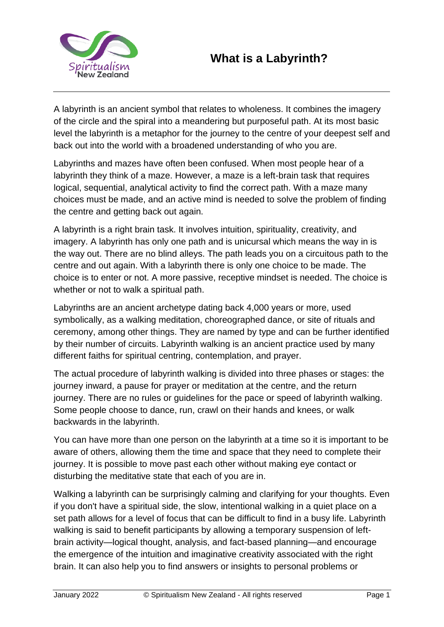

A labyrinth is an ancient symbol that relates to wholeness. It combines the imagery of the circle and the spiral into a meandering but purposeful path. At its most basic level the labyrinth is a metaphor for the journey to the centre of your deepest self and back out into the world with a broadened understanding of who you are.

Labyrinths and mazes have often been confused. When most people hear of a labyrinth they think of a maze. However, a maze is a left-brain task that requires logical, sequential, analytical activity to find the correct path. With a maze many choices must be made, and an active mind is needed to solve the problem of finding the centre and getting back out again.

A labyrinth is a right brain task. It involves intuition, spirituality, creativity, and imagery. A labyrinth has only one path and is unicursal which means the way in is the way out. There are no blind alleys. The path leads you on a circuitous path to the centre and out again. With a labyrinth there is only one choice to be made. The choice is to enter or not. A more passive, receptive mindset is needed. The choice is whether or not to walk a spiritual path.

Labyrinths are an ancient archetype dating back 4,000 years or more, used symbolically, as a walking meditation, choreographed dance, or site of rituals and ceremony, among other things. They are named by type and can be further identified by their number of circuits. Labyrinth walking is an ancient practice used by many different faiths for spiritual centring, contemplation, and prayer.

The actual procedure of labyrinth walking is divided into three phases or stages: the journey inward, a pause for prayer or meditation at the centre, and the return journey. There are no rules or guidelines for the pace or speed of labyrinth walking. Some people choose to dance, run, crawl on their hands and knees, or walk backwards in the labyrinth.

You can have more than one person on the labyrinth at a time so it is important to be aware of others, allowing them the time and space that they need to complete their journey. It is possible to move past each other without making eye contact or disturbing the meditative state that each of you are in.

Walking a labyrinth can be surprisingly calming and clarifying for your thoughts. Even if you don't have a spiritual side, the slow, intentional walking in a quiet place on a set path allows for a level of focus that can be difficult to find in a busy life. Labyrinth walking is said to benefit participants by allowing a temporary suspension of leftbrain activity—logical thought, analysis, and fact-based planning—and encourage the emergence of the intuition and imaginative creativity associated with the right brain. It can also help you to find answers or insights to personal problems or